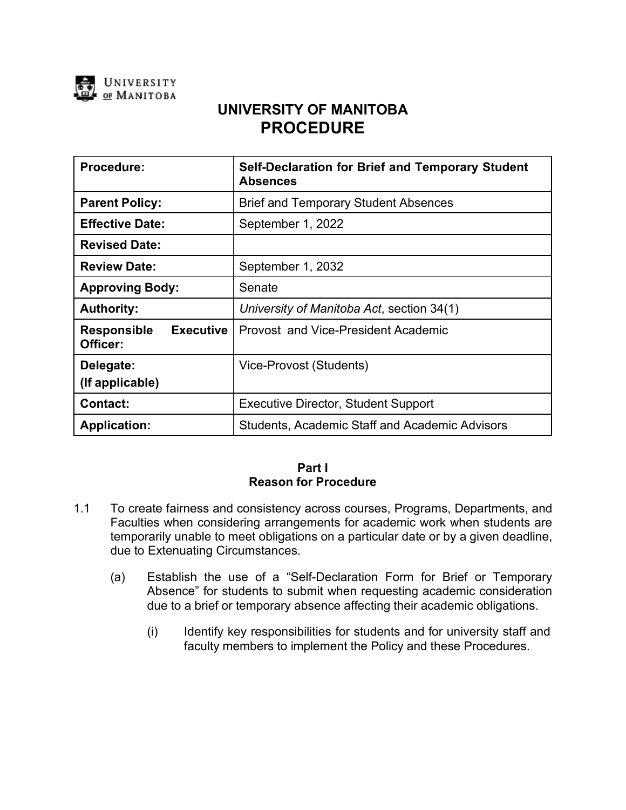

# **UNIVERSITY OF MANITOBA PROCEDURE**

| <b>Procedure:</b>                                  | <b>Self-Declaration for Brief and Temporary Student</b><br><b>Absences</b> |
|----------------------------------------------------|----------------------------------------------------------------------------|
| <b>Parent Policy:</b>                              | <b>Brief and Temporary Student Absences</b>                                |
| <b>Effective Date:</b>                             | September 1, 2022                                                          |
| <b>Revised Date:</b>                               |                                                                            |
| <b>Review Date:</b>                                | September 1, 2032                                                          |
| <b>Approving Body:</b>                             | Senate                                                                     |
| <b>Authority:</b>                                  | University of Manitoba Act, section 34(1)                                  |
| <b>Executive</b><br><b>Responsible</b><br>Officer: | Provost and Vice-President Academic                                        |
| Delegate:<br>(If applicable)                       | Vice-Provost (Students)                                                    |
| <b>Contact:</b>                                    | <b>Executive Director, Student Support</b>                                 |
| <b>Application:</b>                                | <b>Students, Academic Staff and Academic Advisors</b>                      |

#### **Part I Reason for Procedure**

- 1.1 To create fairness and consistency across courses, Programs, Departments, and Faculties when considering arrangements for academic work when students are temporarily unable to meet obligations on a particular date or by a given deadline, due to Extenuating Circumstances.
	- (a) Establish the use of a "Self-Declaration Form for Brief or Temporary Absence" for students to submit when requesting academic consideration due to a brief or temporary absence affecting their academic obligations.
		- (i) Identify key responsibilities for students and for university staff and faculty members to implement the Policy and these Procedures.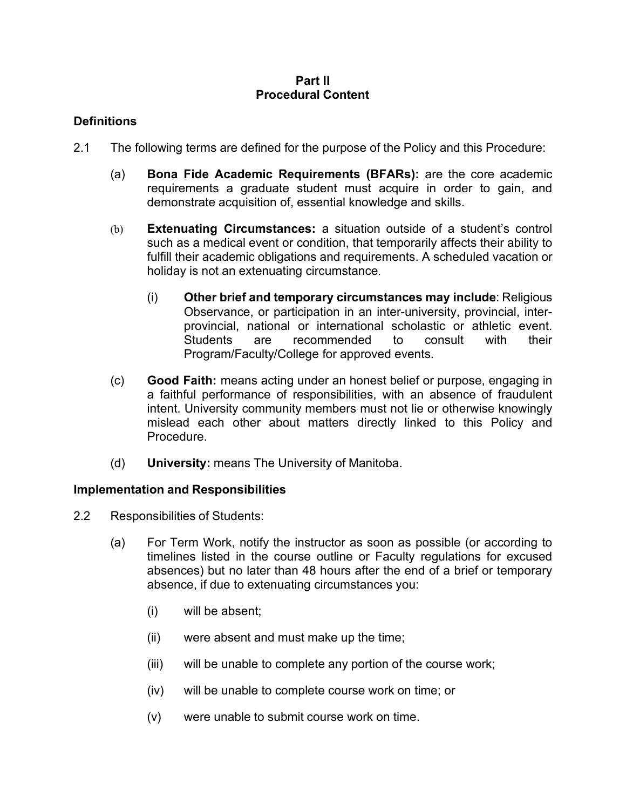### **Part II Procedural Content**

## **Definitions**

- 2.1 The following terms are defined for the purpose of the Policy and this Procedure:
	- (a) **Bona Fide Academic Requirements (BFARs):** are the core academic requirements a graduate student must acquire in order to gain, and demonstrate acquisition of, essential knowledge and skills.
	- (b) **Extenuating Circumstances:** a situation outside of a student's control such as a medical event or condition, that temporarily affects their ability to fulfill their academic obligations and requirements. A scheduled vacation or holiday is not an extenuating circumstance.
		- (i) **Other brief and temporary circumstances may include**: Religious Observance, or participation in an inter-university, provincial, interprovincial, national or international scholastic or athletic event. Students are recommended to consult with their Program/Faculty/College for approved events.
	- (c) **Good Faith:** means acting under an honest belief or purpose, engaging in a faithful performance of responsibilities, with an absence of fraudulent intent. University community members must not lie or otherwise knowingly mislead each other about matters directly linked to this Policy and Procedure.
	- (d) **University:** means The University of Manitoba.

### **Implementation and Responsibilities**

- 2.2 Responsibilities of Students:
	- (a) For Term Work, notify the instructor as soon as possible (or according to timelines listed in the course outline or Faculty regulations for excused absences) but no later than 48 hours after the end of a brief or temporary absence, if due to extenuating circumstances you:
		- (i) will be absent;
		- (ii) were absent and must make up the time;
		- (iii) will be unable to complete any portion of the course work;
		- (iv) will be unable to complete course work on time; or
		- (v) were unable to submit course work on time.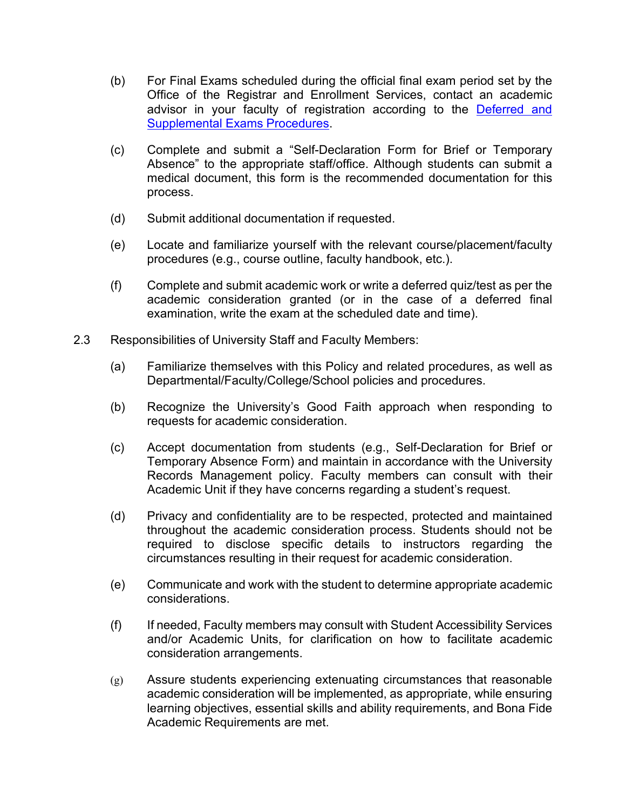- (b) For Final Exams scheduled during the official final exam period set by the Office of the Registrar and Enrollment Services, contact an academic advisor in your faculty of registration according to the [Deferred](https://umanitoba.ca/admin/governance/media/Deferred_and_Supplemental_Examinations_Procedures_-_2013_11_25_RF.pdf) and [Supplemental](https://umanitoba.ca/admin/governance/media/Deferred_and_Supplemental_Examinations_Procedures_-_2013_11_25_RF.pdf) Exams Procedures.
- (c) Complete and submit a "Self-Declaration Form for Brief or Temporary Absence" to the appropriate staff/office. Although students can submit a medical document, this form is the recommended documentation for this process.
- (d) Submit additional documentation if requested.
- (e) Locate and familiarize yourself with the relevant course/placement/faculty procedures (e.g., course outline, faculty handbook, etc.).
- (f) Complete and submit academic work or write a deferred quiz/test as per the academic consideration granted (or in the case of a deferred final examination, write the exam at the scheduled date and time).
- 2.3 Responsibilities of University Staff and Faculty Members:
	- (a) Familiarize themselves with this Policy and related procedures, as well as Departmental/Faculty/College/School policies and procedures.
	- (b) Recognize the University's Good Faith approach when responding to requests for academic consideration.
	- (c) Accept documentation from students (e.g., Self-Declaration for Brief or Temporary Absence Form) and maintain in accordance with the University Records Management policy. Faculty members can consult with their Academic Unit if they have concerns regarding a student's request.
	- (d) Privacy and confidentiality are to be respected, protected and maintained throughout the academic consideration process. Students should not be required to disclose specific details to instructors regarding the circumstances resulting in their request for academic consideration.
	- (e) Communicate and work with the student to determine appropriate academic considerations.
	- (f) If needed, Faculty members may consult with Student Accessibility Services and/or Academic Units, for clarification on how to facilitate academic consideration arrangements.
	- (g) Assure students experiencing extenuating circumstances that reasonable academic consideration will be implemented, as appropriate, while ensuring learning objectives, essential skills and ability requirements, and Bona Fide Academic Requirements are met.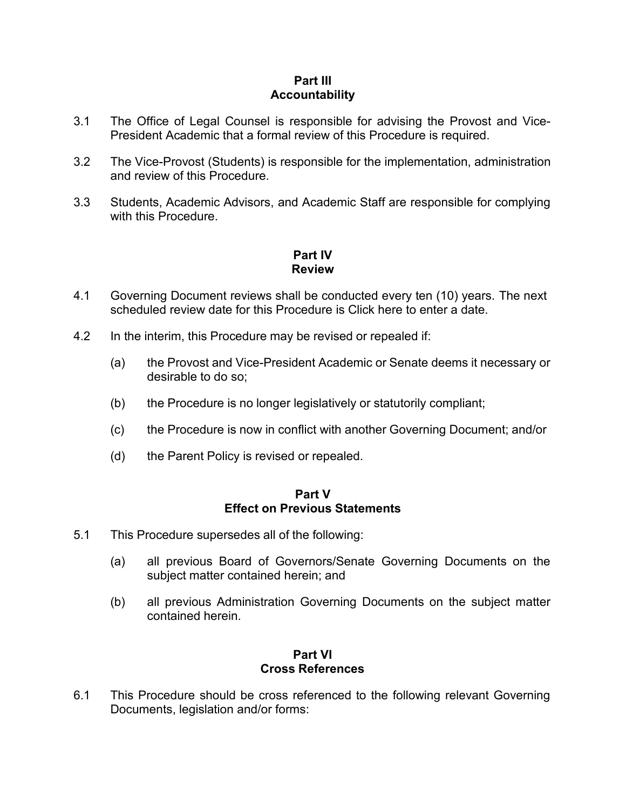#### **Part III Accountability**

- 3.1 The Office of Legal Counsel is responsible for advising the Provost and Vice-President Academic that a formal review of this Procedure is required.
- 3.2 The Vice-Provost (Students) is responsible for the implementation, administration and review of this Procedure.
- 3.3 Students, Academic Advisors, and Academic Staff are responsible for complying with this Procedure.

# **Part IV Review**

- 4.1 Governing Document reviews shall be conducted every ten (10) years. The next scheduled review date for this Procedure is Click here to enter a date.
- 4.2 In the interim, this Procedure may be revised or repealed if:
	- (a) the Provost and Vice-President Academic or Senate deems it necessary or desirable to do so;
	- (b) the Procedure is no longer legislatively or statutorily compliant;
	- (c) the Procedure is now in conflict with another Governing Document; and/or
	- (d) the Parent Policy is revised or repealed.

#### **Part V Effect on Previous Statements**

- 5.1 This Procedure supersedes all of the following:
	- (a) all previous Board of Governors/Senate Governing Documents on the subject matter contained herein; and
	- (b) all previous Administration Governing Documents on the subject matter contained herein.

### **Part VI Cross References**

6.1 This Procedure should be cross referenced to the following relevant Governing Documents, legislation and/or forms: